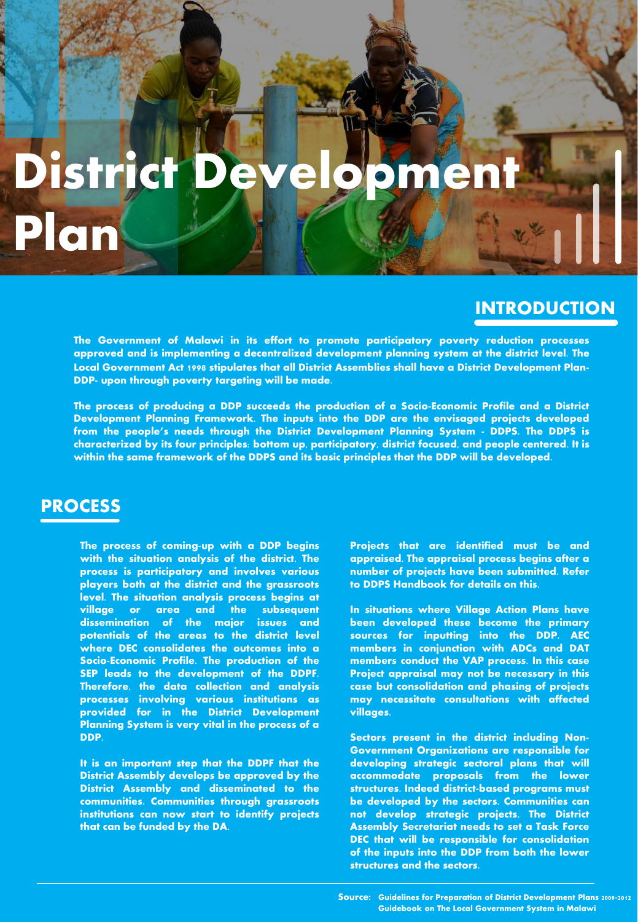## District

## **INTRODUCTION**

**The Government of Malawi in its effort to promote participatory poverty reduction processes approved and is implementing a decentralized development planning system at the district level. The Local Government Act 1998 stipulates that all District Assemblies shall have a District Development Plan-DDP- upon through poverty targeting will be made.**

**The process of producing a DDP succeeds the production of a Socio-Economic Profile and a District Development Planning Framework. The inputs into the DDP are the envisaged projects developed from the people's needs through the District Development Planning System - DDPS. The DDPS is characterized by its four principles: bottom up, participatory, district focused, and people centered. It is within the same framework of the DDPS and its basic principles that the DDP will be developed.**

## **PROCESS**

**Plan**

**The process of coming-up with a DDP begins with the situation analysis of the district. The process is participatory and involves various players both at the district and the grassroots level. The situation analysis process begins at village or area and the subsequent dissemination of the major issues and potentials of the areas to the district level where DEC consolidates the outcomes into a Socio-Economic Profile. The production of the SEP leads to the development of the DDPF. Therefore, the data collection and analysis processes involving various institutions as provided for in the District Development Planning System is very vital in the process of a DDP.**

**It is an important step that the DDPF that the District Assembly develops be approved by the District Assembly and disseminated to the communities. Communities through grassroots institutions can now start to identify projects that can be funded by the DA.**

**Projects that are identified must be and appraised. The appraisal process begins after a number of projects have been submitted. Refer to DDPS Handbook for details on this.**

**In situations where Village Action Plans have been developed these become the primary sources for inputting into the DDP. AEC members in conjunction with ADCs and DAT members conduct the VAP process. In this case Project appraisal may not be necessary in this case but consolidation and phasing of projects may necessitate consultations with affected villages.**

**Sectors present in the district including Non-Government Organizations are responsible for developing strategic sectoral plans that will accommodate proposals from the lower structures. Indeed district-based programs must be developed by the sectors. Communities can not develop strategic projects. The District Assembly Secretariat needs to set a Task Force DEC that will be responsible for consolidation of the inputs into the DDP from both the lower structures and the sectors.**

**Source: Guidelines for Preparation of District Development Plans 2009-2012 Guidebook on The Local Government System in Malawi**